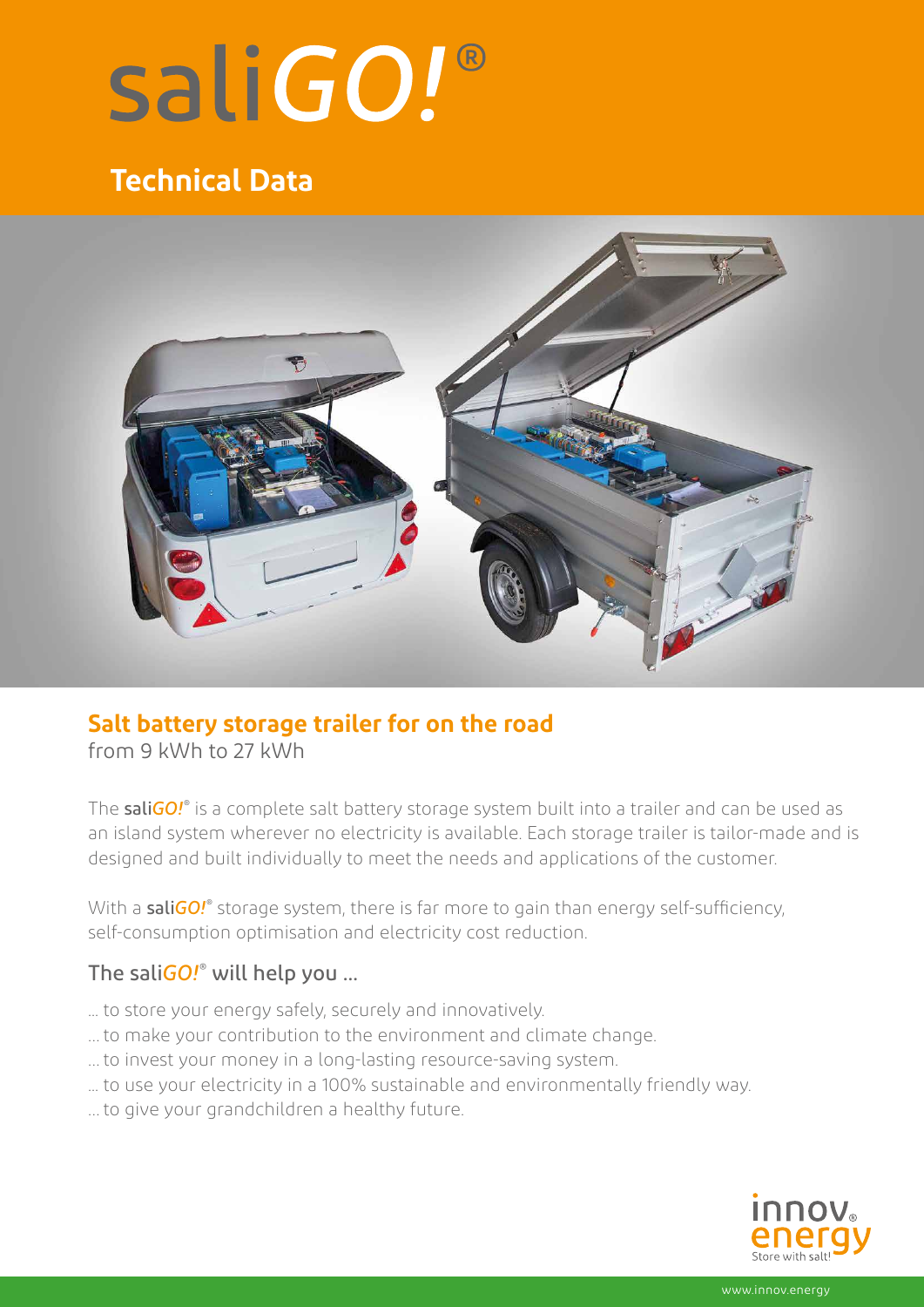# saliGO!®

# **Technical Data**



## **Salt battery storage trailer for on the road**

from 9 kWh to 27 kWh

The sali*GO!*® is a complete salt battery storage system built into a trailer and can be used as an island system wherever no electricity is available. Each storage trailer is tailor-made and is designed and built individually to meet the needs and applications of the customer.

With a **saliGO!**® storage system, there is far more to gain than energy self-sufficiency, self-consumption optimisation and electricity cost reduction.

#### The sali*GO!*® will help you ...

- ... to store your energy safely, securely and innovatively.
- … to make your contribution to the environment and climate change.
- … to invest your money in a long-lasting resource-saving system.
- ... to use your electricity in a 100% sustainable and environmentally friendly way.
- … to give your grandchildren a healthy future.



www.innov.energy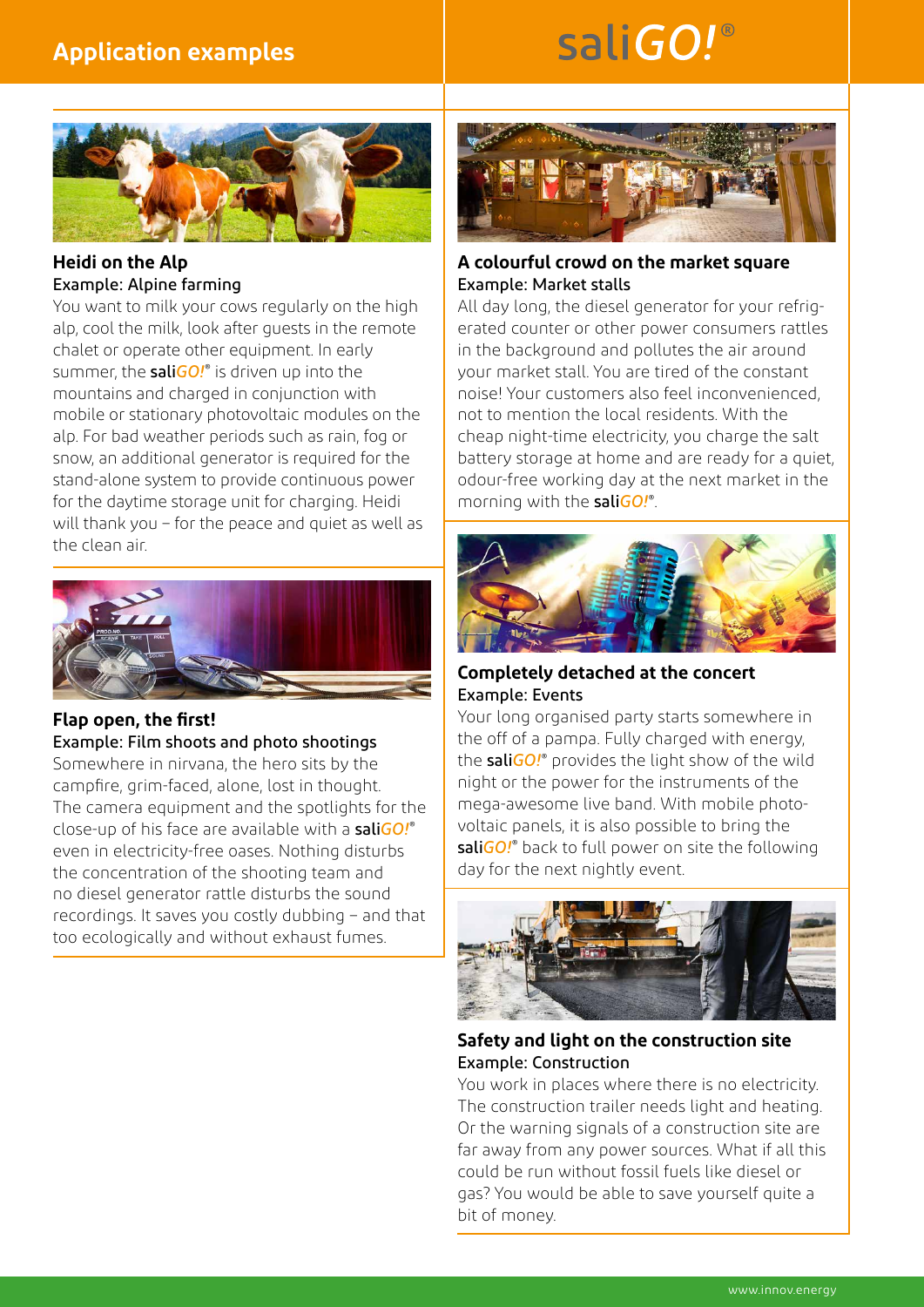### **Application examples**

# saliGO!®



**Heidi on the Alp**  Example: Alpine farming

You want to milk your cows regularly on the high alp, cool the milk, look after guests in the remote chalet or operate other equipment. In early summer, the sali*GO!*® is driven up into the mountains and charged in conjunction with mobile or stationary photovoltaic modules on the alp. For bad weather periods such as rain, fog or snow, an additional generator is required for the stand-alone system to provide continuous power for the daytime storage unit for charging. Heidi will thank you – for the peace and quiet as well as the clean air.



#### **Flap open, the first!**

Example: Film shoots and photo shootings

Somewhere in nirvana, the hero sits by the campfire, grim-faced, alone, lost in thought. The camera equipment and the spotlights for the close-up of his face are available with a sali*GO!*® even in electricity-free oases. Nothing disturbs the concentration of the shooting team and no diesel generator rattle disturbs the sound recordings. It saves you costly dubbing – and that too ecologically and without exhaust fumes.



#### **A colourful crowd on the market square**  Example: Market stalls

All day long, the diesel generator for your refrigerated counter or other power consumers rattles in the background and pollutes the air around your market stall. You are tired of the constant noise! Your customers also feel inconvenienced, not to mention the local residents. With the cheap night-time electricity, you charge the salt battery storage at home and are ready for a quiet, odour-free working day at the next market in the morning with the sali*GO!*® .



#### **Completely detached at the concert**  Example: Events

Your long organised party starts somewhere in the off of a pampa. Fully charged with energy, the sali*GO!*® provides the light show of the wild night or the power for the instruments of the mega-awesome live band. With mobile photovoltaic panels, it is also possible to bring the sali*GO!*® back to full power on site the following day for the next nightly event.



#### **Safety and light on the construction site**  Example: Construction

You work in places where there is no electricity. The construction trailer needs light and heating. Or the warning signals of a construction site are far away from any power sources. What if all this could be run without fossil fuels like diesel or gas? You would be able to save yourself quite a bit of money.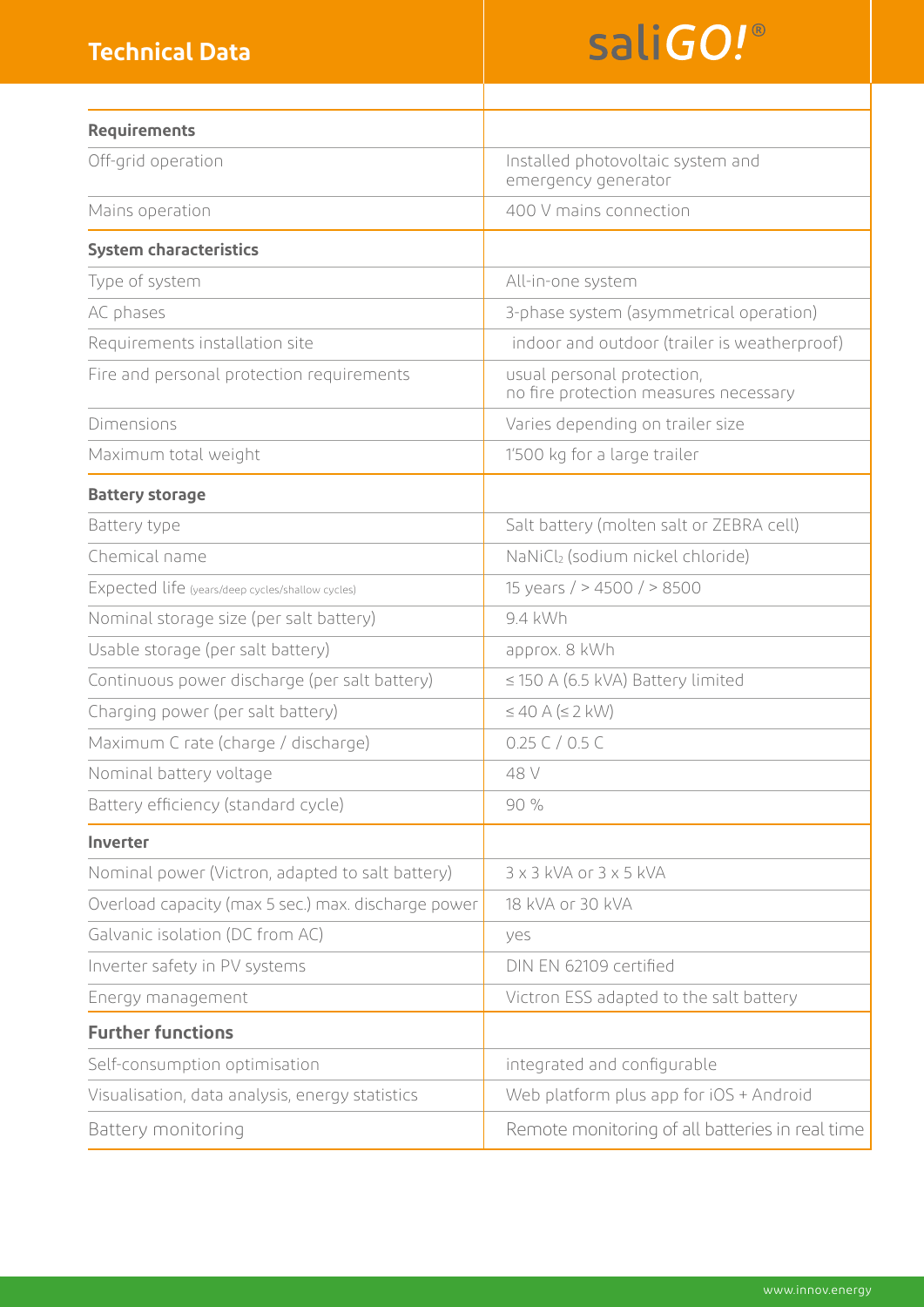### **Technical Data**

# saliGO!®

| <b>Requirements</b>                                 |                                                                     |
|-----------------------------------------------------|---------------------------------------------------------------------|
| Off-grid operation                                  | Installed photovoltaic system and<br>emergency generator            |
| Mains operation                                     | 400 V mains connection                                              |
| <b>System characteristics</b>                       |                                                                     |
| Type of system                                      | All-in-one system                                                   |
| AC phases                                           | 3-phase system (asymmetrical operation)                             |
| Requirements installation site                      | indoor and outdoor (trailer is weatherproof)                        |
| Fire and personal protection requirements           | usual personal protection,<br>no fire protection measures necessary |
| <b>Dimensions</b>                                   | Varies depending on trailer size                                    |
| Maximum total weight                                | 1'500 kg for a large trailer                                        |
| <b>Battery storage</b>                              |                                                                     |
| Battery type                                        | Salt battery (molten salt or ZEBRA cell)                            |
| Chemical name                                       | NaNiCl <sub>2</sub> (sodium nickel chloride)                        |
| Expected life (years/deep cycles/shallow cycles)    | 15 years / $> 4500$ / $> 8500$                                      |
| Nominal storage size (per salt battery)             | 9.4 kWh                                                             |
| Usable storage (per salt battery)                   | approx. 8 kWh                                                       |
| Continuous power discharge (per salt battery)       | $\leq$ 150 A (6.5 kVA) Battery limited                              |
| Charging power (per salt battery)                   | $\leq 40$ A ( $\leq 2$ kW)                                          |
| Maximum C rate (charge / discharge)                 | 0.25C / 0.5C                                                        |
| Nominal battery voltage                             | 48 V                                                                |
| Battery efficiency (standard cycle)                 | 90 %                                                                |
| Inverter                                            |                                                                     |
| Nominal power (Victron, adapted to salt battery)    | 3 x 3 kVA or 3 x 5 kVA                                              |
| Overload capacity (max 5 sec.) max. discharge power | 18 kVA or 30 kVA                                                    |
| Galvanic isolation (DC from AC)                     | yes                                                                 |
| Inverter safety in PV systems                       | DIN EN 62109 certified                                              |
| Energy management                                   | Victron ESS adapted to the salt battery                             |
| <b>Further functions</b>                            |                                                                     |
| Self-consumption optimisation                       | integrated and configurable                                         |
| Visualisation, data analysis, energy statistics     | Web platform plus app for iOS + Android                             |
| Battery monitoring                                  | Remote monitoring of all batteries in real time                     |